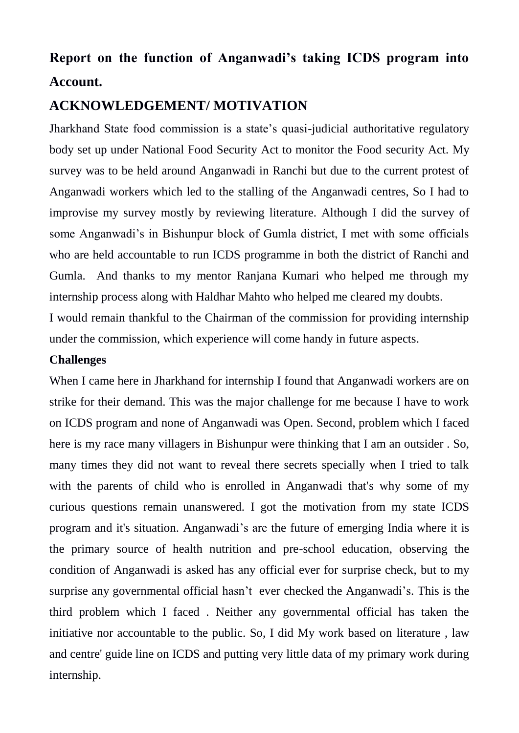# **Report on the function of Anganwadi's taking ICDS program into Account.**

## **ACKNOWLEDGEMENT/ MOTIVATION**

Jharkhand State food commission is a state's quasi-judicial authoritative regulatory body set up under National Food Security Act to monitor the Food security Act. My survey was to be held around Anganwadi in Ranchi but due to the current protest of Anganwadi workers which led to the stalling of the Anganwadi centres, So I had to improvise my survey mostly by reviewing literature. Although I did the survey of some Anganwadi's in Bishunpur block of Gumla district, I met with some officials who are held accountable to run ICDS programme in both the district of Ranchi and Gumla. And thanks to my mentor Ranjana Kumari who helped me through my internship process along with Haldhar Mahto who helped me cleared my doubts.

I would remain thankful to the Chairman of the commission for providing internship under the commission, which experience will come handy in future aspects.

## **Challenges**

When I came here in Jharkhand for internship I found that Anganwadi workers are on strike for their demand. This was the major challenge for me because I have to work on ICDS program and none of Anganwadi was Open. Second, problem which I faced here is my race many villagers in Bishunpur were thinking that I am an outsider . So, many times they did not want to reveal there secrets specially when I tried to talk with the parents of child who is enrolled in Anganwadi that's why some of my curious questions remain unanswered. I got the motivation from my state ICDS program and it's situation. Anganwadi's are the future of emerging India where it is the primary source of health nutrition and pre-school education, observing the condition of Anganwadi is asked has any official ever for surprise check, but to my surprise any governmental official hasn't ever checked the Anganwadi's. This is the third problem which I faced . Neither any governmental official has taken the initiative nor accountable to the public. So, I did My work based on literature , law and centre' guide line on ICDS and putting very little data of my primary work during internship.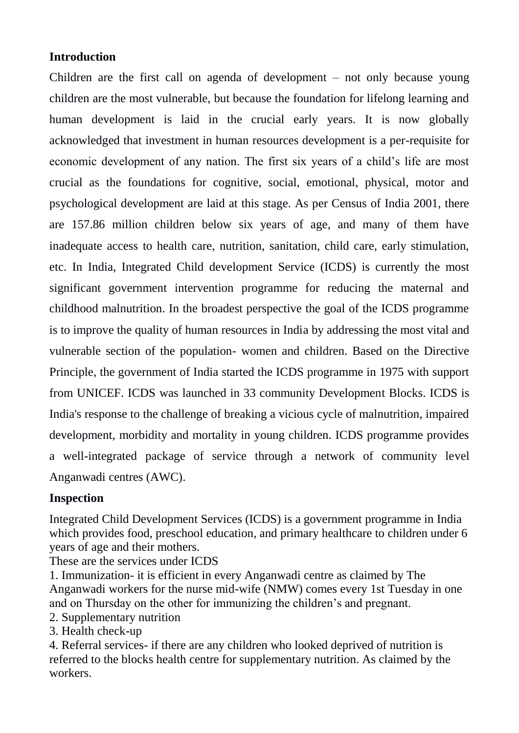## **Introduction**

Children are the first call on agenda of development – not only because young children are the most vulnerable, but because the foundation for lifelong learning and human development is laid in the crucial early years. It is now globally acknowledged that investment in human resources development is a per-requisite for economic development of any nation. The first six years of a child's life are most crucial as the foundations for cognitive, social, emotional, physical, motor and psychological development are laid at this stage. As per Census of India 2001, there are 157.86 million children below six years of age, and many of them have inadequate access to health care, nutrition, sanitation, child care, early stimulation, etc. In India, Integrated Child development Service (ICDS) is currently the most significant government intervention programme for reducing the maternal and childhood malnutrition. In the broadest perspective the goal of the ICDS programme is to improve the quality of human resources in India by addressing the most vital and vulnerable section of the population- women and children. Based on the Directive Principle, the government of India started the ICDS programme in 1975 with support from UNICEF. ICDS was launched in 33 community Development Blocks. ICDS is India's response to the challenge of breaking a vicious cycle of malnutrition, impaired development, morbidity and mortality in young children. ICDS programme provides a well-integrated package of service through a network of community level Anganwadi centres (AWC).

## **Inspection**

Integrated Child Development Services (ICDS) is a government programme in India which provides food, preschool education, and primary healthcare to children under 6 years of age and their mothers.

These are the services under ICDS

1. Immunization- it is efficient in every Anganwadi centre as claimed by The Anganwadi workers for the nurse mid-wife (NMW) comes every 1st Tuesday in one and on Thursday on the other for immunizing the children's and pregnant.

- 2. Supplementary nutrition
- 3. Health check-up

4. Referral services- if there are any children who looked deprived of nutrition is referred to the blocks health centre for supplementary nutrition. As claimed by the workers.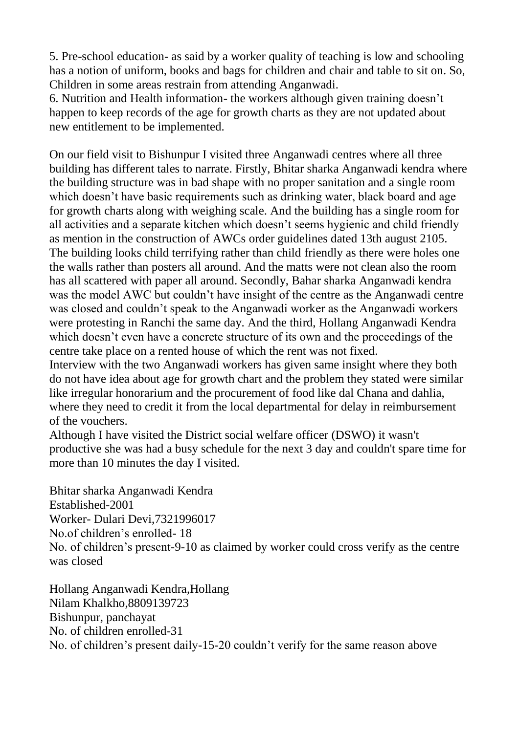5. Pre-school education- as said by a worker quality of teaching is low and schooling has a notion of uniform, books and bags for children and chair and table to sit on. So, Children in some areas restrain from attending Anganwadi.

6. Nutrition and Health information- the workers although given training doesn't happen to keep records of the age for growth charts as they are not updated about new entitlement to be implemented.

On our field visit to Bishunpur I visited three Anganwadi centres where all three building has different tales to narrate. Firstly, Bhitar sharka Anganwadi kendra where the building structure was in bad shape with no proper sanitation and a single room which doesn't have basic requirements such as drinking water, black board and age for growth charts along with weighing scale. And the building has a single room for all activities and a separate kitchen which doesn't seems hygienic and child friendly as mention in the construction of AWCs order guidelines dated 13th august 2105. The building looks child terrifying rather than child friendly as there were holes one the walls rather than posters all around. And the matts were not clean also the room has all scattered with paper all around. Secondly, Bahar sharka Anganwadi kendra was the model AWC but couldn't have insight of the centre as the Anganwadi centre was closed and couldn't speak to the Anganwadi worker as the Anganwadi workers were protesting in Ranchi the same day. And the third, Hollang Anganwadi Kendra which doesn't even have a concrete structure of its own and the proceedings of the centre take place on a rented house of which the rent was not fixed.

Interview with the two Anganwadi workers has given same insight where they both do not have idea about age for growth chart and the problem they stated were similar like irregular honorarium and the procurement of food like dal Chana and dahlia, where they need to credit it from the local departmental for delay in reimbursement of the vouchers.

Although I have visited the District social welfare officer (DSWO) it wasn't productive she was had a busy schedule for the next 3 day and couldn't spare time for more than 10 minutes the day I visited.

Bhitar sharka Anganwadi Kendra Established-2001 Worker- Dulari Devi,7321996017 No.of children's enrolled- 18 No. of children's present-9-10 as claimed by worker could cross verify as the centre was closed

Hollang Anganwadi Kendra,Hollang Nilam Khalkho,8809139723 Bishunpur, panchayat No. of children enrolled-31 No. of children's present daily-15-20 couldn't verify for the same reason above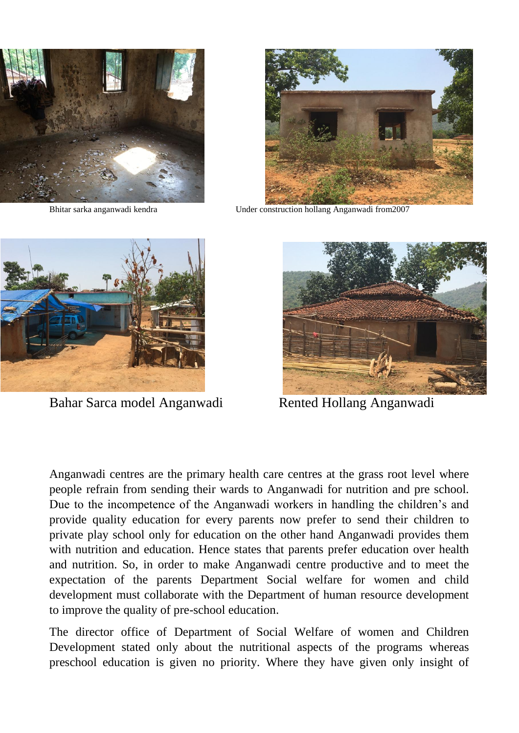



Bhitar sarka anganwadi kendra Under construction hollang Anganwadi from2007



Anganwadi centres are the primary health care centres at the grass root level where people refrain from sending their wards to Anganwadi for nutrition and pre school. Due to the incompetence of the Anganwadi workers in handling the children's and provide quality education for every parents now prefer to send their children to private play school only for education on the other hand Anganwadi provides them with nutrition and education. Hence states that parents prefer education over health and nutrition. So, in order to make Anganwadi centre productive and to meet the expectation of the parents Department Social welfare for women and child development must collaborate with the Department of human resource development to improve the quality of pre-school education.

The director office of Department of Social Welfare of women and Children Development stated only about the nutritional aspects of the programs whereas preschool education is given no priority. Where they have given only insight of



Bahar Sarca model Anganwadi Rented Hollang Anganwadi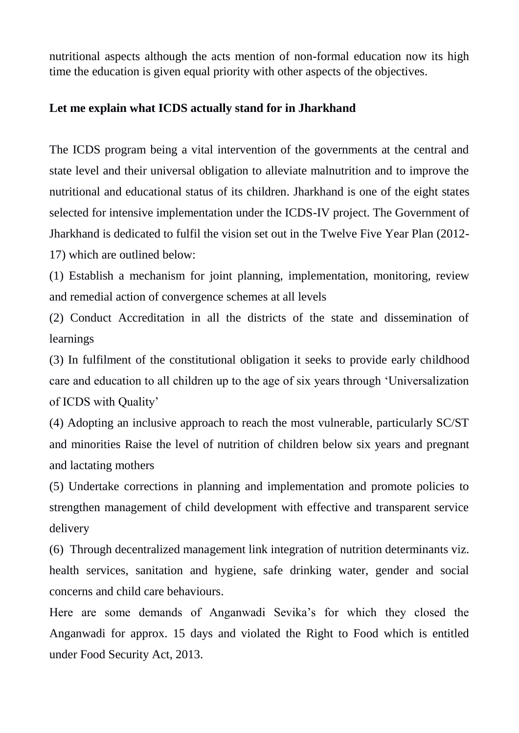nutritional aspects although the acts mention of non-formal education now its high time the education is given equal priority with other aspects of the objectives.

## **Let me explain what ICDS actually stand for in Jharkhand**

The ICDS program being a vital intervention of the governments at the central and state level and their universal obligation to alleviate malnutrition and to improve the nutritional and educational status of its children. Jharkhand is one of the eight states selected for intensive implementation under the ICDS-IV project. The Government of Jharkhand is dedicated to fulfil the vision set out in the Twelve Five Year Plan (2012- 17) which are outlined below:

(1) Establish a mechanism for joint planning, implementation, monitoring, review and remedial action of convergence schemes at all levels

(2) Conduct Accreditation in all the districts of the state and dissemination of learnings

(3) In fulfilment of the constitutional obligation it seeks to provide early childhood care and education to all children up to the age of six years through 'Universalization of ICDS with Quality'

(4) Adopting an inclusive approach to reach the most vulnerable, particularly SC/ST and minorities Raise the level of nutrition of children below six years and pregnant and lactating mothers

(5) Undertake corrections in planning and implementation and promote policies to strengthen management of child development with effective and transparent service delivery

(6) Through decentralized management link integration of nutrition determinants viz. health services, sanitation and hygiene, safe drinking water, gender and social concerns and child care behaviours.

Here are some demands of Anganwadi Sevika's for which they closed the Anganwadi for approx. 15 days and violated the Right to Food which is entitled under Food Security Act, 2013.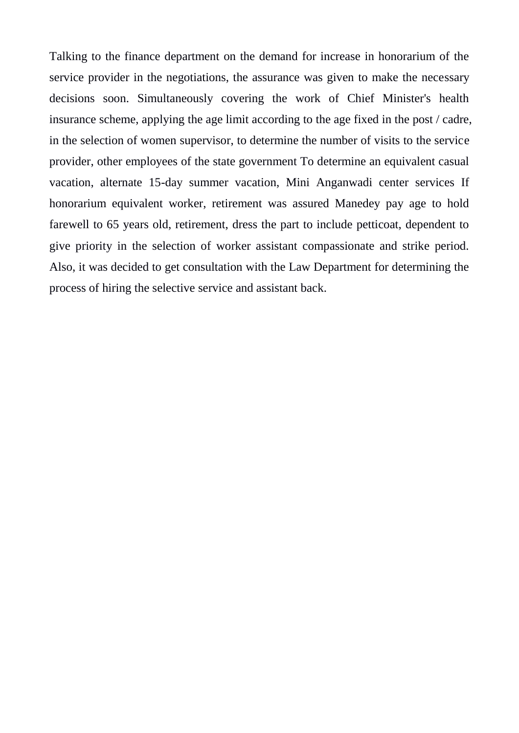Talking to the finance department on the demand for increase in honorarium of the service provider in the negotiations, the assurance was given to make the necessary decisions soon. Simultaneously covering the work of Chief Minister's health insurance scheme, applying the age limit according to the age fixed in the post / cadre, in the selection of women supervisor, to determine the number of visits to the service provider, other employees of the state government To determine an equivalent casual vacation, alternate 15-day summer vacation, Mini Anganwadi center services If honorarium equivalent worker, retirement was assured Manedey pay age to hold farewell to 65 years old, retirement, dress the part to include petticoat, dependent to give priority in the selection of worker assistant compassionate and strike period. Also, it was decided to get consultation with the Law Department for determining the process of hiring the selective service and assistant back.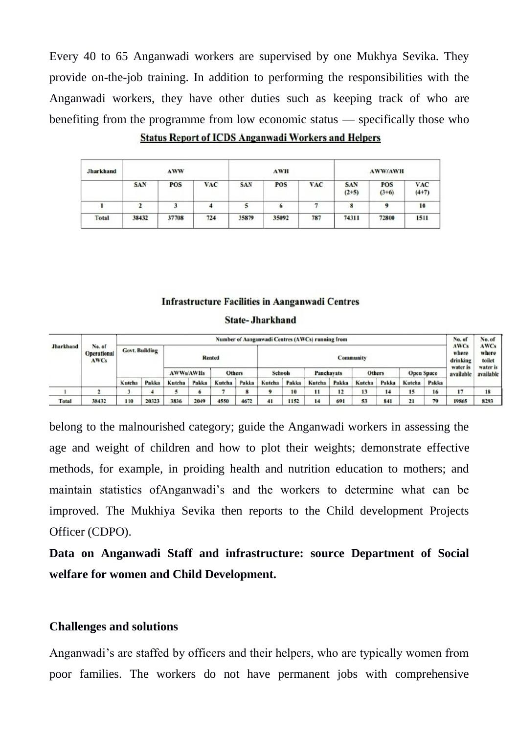Every 40 to 65 Anganwadi workers are supervised by one Mukhya Sevika. They provide on-the-job training. In addition to performing the responsibilities with the Anganwadi workers, they have other duties such as keeping track of who are benefiting from the programme from low economic status — specifically those who

| Jharkhand |            | AWW        |            |            | <b>AWH</b> |            | <b>AWW/AWH</b>        |                       |                       |  |  |
|-----------|------------|------------|------------|------------|------------|------------|-----------------------|-----------------------|-----------------------|--|--|
|           | <b>SAN</b> | <b>POS</b> | <b>VAC</b> | <b>SAN</b> | POS        | <b>VAC</b> | <b>SAN</b><br>$(2+5)$ | <b>POS</b><br>$(3+6)$ | <b>VAC</b><br>$(4+7)$ |  |  |
|           |            |            |            |            |            |            | 8                     |                       | 10                    |  |  |
| Total     | 38432      | 37708      | 724        | 35879      | 35092      | 787        | 74311                 | 72800                 | 1511                  |  |  |

**Status Report of ICDS Anganwadi Workers and Helpers** 

#### **Infrastructure Facilities in Aanganwadi Centres**

#### **State-Jharkhand**

| <b>Jharkhand</b> | No. of<br><b>Operational</b><br><b>AWCs</b> | Number of Aanganwadi Centres (AWCs) running from |       |                  |       |               |                  |                |       |            |       |               |       |                   | No. of                           | No. of                         |                       |
|------------------|---------------------------------------------|--------------------------------------------------|-------|------------------|-------|---------------|------------------|----------------|-------|------------|-------|---------------|-------|-------------------|----------------------------------|--------------------------------|-----------------------|
|                  |                                             | <b>Govt. Building</b>                            |       | <b>Rented</b>    |       |               | <b>Community</b> |                |       |            |       |               |       |                   | <b>AWCs</b><br>where<br>drinking | <b>AWCs</b><br>where<br>toilet |                       |
|                  |                                             |                                                  |       | <b>AWWs/AWHs</b> |       | <b>Others</b> |                  | <b>Schools</b> |       | Panchavats |       | <b>Others</b> |       | <b>Open Space</b> |                                  | water is<br>available          | water is<br>available |
|                  |                                             | Kutcha                                           | Pakka | Kutcha           | Pakka | Kutcha        | Pakka            | Kutcha         | Pakka | Kutcha     | Pakka | Kutcha        | Pakka | Kutcha            | Pakka                            |                                |                       |
|                  |                                             |                                                  |       |                  |       |               | o                | 9              | 10    | 11         | 12    | 13            | 14    | 15                | 16                               | 17                             | 18                    |
| Total            | 38432                                       | 110                                              | 20323 | 3836             | 2049  | 4550          | 4672             | 41             | 1152  | 14         | 691   | 53            | 841   | 21                | 79                               | 19865                          | 8293                  |

belong to the malnourished category; guide the Anganwadi workers in assessing the age and weight of children and how to plot their weights; demonstrate effective methods, for example, in proiding health and nutrition education to mothers; and maintain statistics ofAnganwadi's and the workers to determine what can be improved. The Mukhiya Sevika then reports to the Child development Projects Officer (CDPO).

**Data on Anganwadi Staff and infrastructure: source Department of Social welfare for women and Child Development.**

#### **Challenges and solutions**

Anganwadi's are staffed by officers and their helpers, who are typically women from poor families. The workers do not have permanent jobs with comprehensive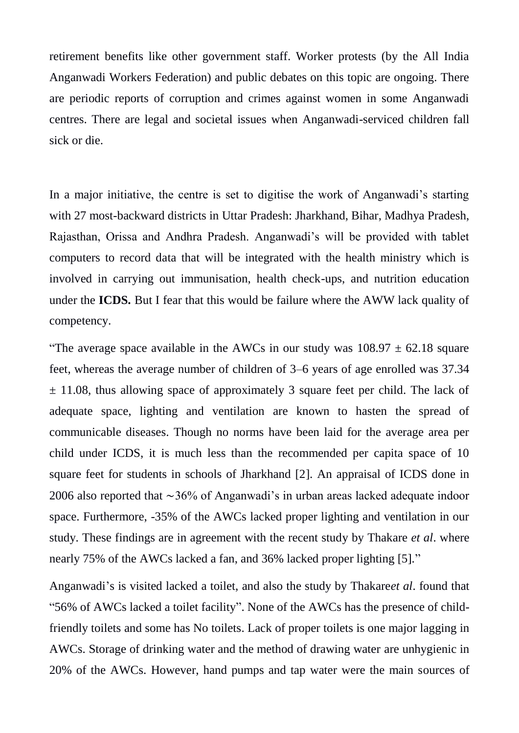retirement benefits like other government staff. Worker protests (by the All India Anganwadi Workers Federation) and public debates on this topic are ongoing. There are periodic reports of corruption and crimes against women in some Anganwadi centres. There are legal and societal issues when Anganwadi-serviced children fall sick or die.

In a major initiative, the centre is set to digitise the work of Anganwadi's starting with 27 most-backward districts in Uttar Pradesh: Jharkhand, Bihar, Madhya Pradesh, Rajasthan, Orissa and Andhra Pradesh. Anganwadi's will be provided with tablet computers to record data that will be integrated with the health ministry which is involved in carrying out immunisation, health check-ups, and nutrition education under the **ICDS.** But I fear that this would be failure where the AWW lack quality of competency.

"The average space available in the AWCs in our study was  $108.97 \pm 62.18$  square feet, whereas the average number of children of 3–6 years of age enrolled was 37.34  $\pm$  11.08, thus allowing space of approximately 3 square feet per child. The lack of adequate space, lighting and ventilation are known to hasten the spread of communicable diseases. Though no norms have been laid for the average area per child under ICDS, it is much less than the recommended per capita space of 10 square feet for students in schools of Jharkhand [2]. An appraisal of ICDS done in 2006 also reported that ∼36% of Anganwadi's in urban areas lacked adequate indoor space. Furthermore, -35% of the AWCs lacked proper lighting and ventilation in our study. These findings are in agreement with the recent study by Thakare *et al*. where nearly 75% of the AWCs lacked a fan, and 36% lacked proper lighting [5]."

Anganwadi's is visited lacked a toilet, and also the study by Thakare*et al*. found that "56% of AWCs lacked a toilet facility". None of the AWCs has the presence of childfriendly toilets and some has No toilets. Lack of proper toilets is one major lagging in AWCs. Storage of drinking water and the method of drawing water are unhygienic in 20% of the AWCs. However, hand pumps and tap water were the main sources of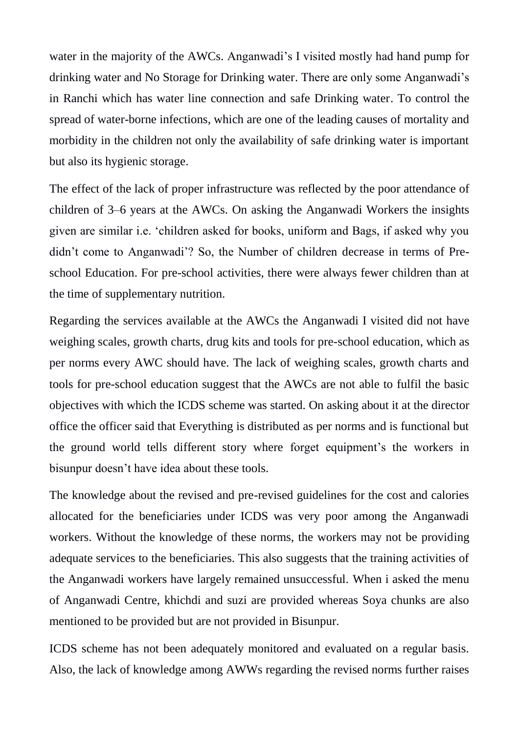water in the majority of the AWCs. Anganwadi's I visited mostly had hand pump for drinking water and No Storage for Drinking water. There are only some Anganwadi's in Ranchi which has water line connection and safe Drinking water. To control the spread of water-borne infections, which are one of the leading causes of mortality and morbidity in the children not only the availability of safe drinking water is important but also its hygienic storage.

The effect of the lack of proper infrastructure was reflected by the poor attendance of children of 3–6 years at the AWCs. On asking the Anganwadi Workers the insights given are similar i.e. 'children asked for books, uniform and Bags, if asked why you didn't come to Anganwadi'? So, the Number of children decrease in terms of Preschool Education. For pre-school activities, there were always fewer children than at the time of supplementary nutrition.

Regarding the services available at the AWCs the Anganwadi I visited did not have weighing scales, growth charts, drug kits and tools for pre-school education, which as per norms every AWC should have. The lack of weighing scales, growth charts and tools for pre-school education suggest that the AWCs are not able to fulfil the basic objectives with which the ICDS scheme was started. On asking about it at the director office the officer said that Everything is distributed as per norms and is functional but the ground world tells different story where forget equipment's the workers in bisunpur doesn't have idea about these tools.

The knowledge about the revised and pre-revised guidelines for the cost and calories allocated for the beneficiaries under ICDS was very poor among the Anganwadi workers. Without the knowledge of these norms, the workers may not be providing adequate services to the beneficiaries. This also suggests that the training activities of the Anganwadi workers have largely remained unsuccessful. When i asked the menu of Anganwadi Centre, khichdi and suzi are provided whereas Soya chunks are also mentioned to be provided but are not provided in Bisunpur.

ICDS scheme has not been adequately monitored and evaluated on a regular basis. Also, the lack of knowledge among AWWs regarding the revised norms further raises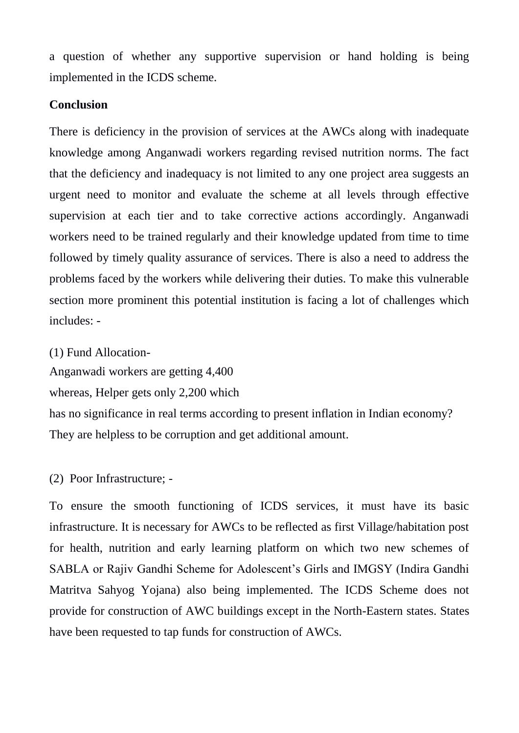a question of whether any supportive supervision or hand holding is being implemented in the ICDS scheme.

#### **Conclusion**

There is deficiency in the provision of services at the AWCs along with inadequate knowledge among Anganwadi workers regarding revised nutrition norms. The fact that the deficiency and inadequacy is not limited to any one project area suggests an urgent need to monitor and evaluate the scheme at all levels through effective supervision at each tier and to take corrective actions accordingly. Anganwadi workers need to be trained regularly and their knowledge updated from time to time followed by timely quality assurance of services. There is also a need to address the problems faced by the workers while delivering their duties. To make this vulnerable section more prominent this potential institution is facing a lot of challenges which includes: -

(1) Fund Allocation-

Anganwadi workers are getting 4,400

whereas, Helper gets only 2,200 which

has no significance in real terms according to present inflation in Indian economy? They are helpless to be corruption and get additional amount.

(2) Poor Infrastructure; -

To ensure the smooth functioning of ICDS services, it must have its basic infrastructure. It is necessary for AWCs to be reflected as first Village/habitation post for health, nutrition and early learning platform on which two new schemes of SABLA or Rajiv Gandhi Scheme for Adolescent's Girls and IMGSY (Indira Gandhi Matritva Sahyog Yojana) also being implemented. The ICDS Scheme does not provide for construction of AWC buildings except in the North-Eastern states. States have been requested to tap funds for construction of AWCs.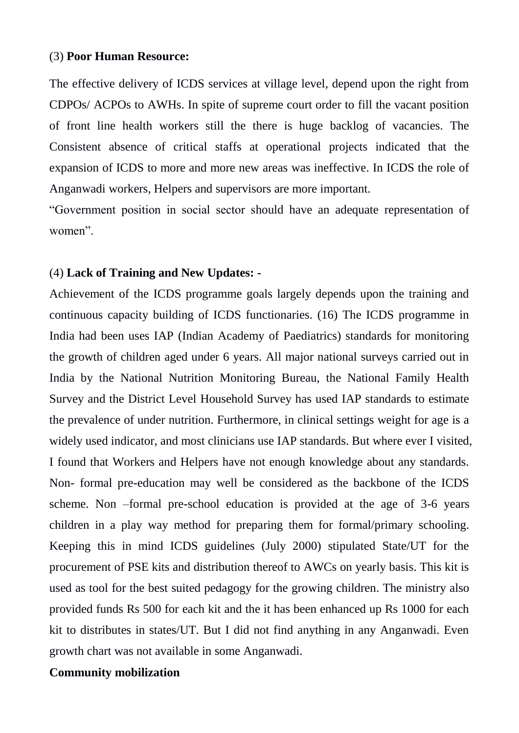#### (3) **Poor Human Resource:**

The effective delivery of ICDS services at village level, depend upon the right from CDPOs/ ACPOs to AWHs. In spite of supreme court order to fill the vacant position of front line health workers still the there is huge backlog of vacancies. The Consistent absence of critical staffs at operational projects indicated that the expansion of ICDS to more and more new areas was ineffective. In ICDS the role of Anganwadi workers, Helpers and supervisors are more important.

"Government position in social sector should have an adequate representation of women".

#### (4) **Lack of Training and New Updates: -**

Achievement of the ICDS programme goals largely depends upon the training and continuous capacity building of ICDS functionaries. (16) The ICDS programme in India had been uses IAP (Indian Academy of Paediatrics) standards for monitoring the growth of children aged under 6 years. All major national surveys carried out in India by the National Nutrition Monitoring Bureau, the National Family Health Survey and the District Level Household Survey has used IAP standards to estimate the prevalence of under nutrition. Furthermore, in clinical settings weight for age is a widely used indicator, and most clinicians use IAP standards. But where ever I visited, I found that Workers and Helpers have not enough knowledge about any standards. Non- formal pre-education may well be considered as the backbone of the ICDS scheme. Non –formal pre-school education is provided at the age of 3-6 years children in a play way method for preparing them for formal/primary schooling. Keeping this in mind ICDS guidelines (July 2000) stipulated State/UT for the procurement of PSE kits and distribution thereof to AWCs on yearly basis. This kit is used as tool for the best suited pedagogy for the growing children. The ministry also provided funds Rs 500 for each kit and the it has been enhanced up Rs 1000 for each kit to distributes in states/UT. But I did not find anything in any Anganwadi. Even growth chart was not available in some Anganwadi.

### **Community mobilization**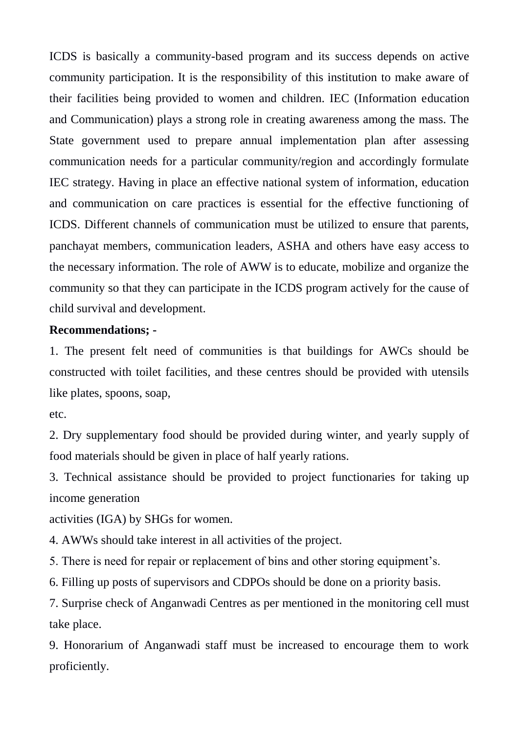ICDS is basically a community-based program and its success depends on active community participation. It is the responsibility of this institution to make aware of their facilities being provided to women and children. IEC (Information education and Communication) plays a strong role in creating awareness among the mass. The State government used to prepare annual implementation plan after assessing communication needs for a particular community/region and accordingly formulate IEC strategy. Having in place an effective national system of information, education and communication on care practices is essential for the effective functioning of ICDS. Different channels of communication must be utilized to ensure that parents, panchayat members, communication leaders, ASHA and others have easy access to the necessary information. The role of AWW is to educate, mobilize and organize the community so that they can participate in the ICDS program actively for the cause of child survival and development.

### **Recommendations; -**

1. The present felt need of communities is that buildings for AWCs should be constructed with toilet facilities, and these centres should be provided with utensils like plates, spoons, soap,

etc.

2. Dry supplementary food should be provided during winter, and yearly supply of food materials should be given in place of half yearly rations.

3. Technical assistance should be provided to project functionaries for taking up income generation

activities (IGA) by SHGs for women.

4. AWWs should take interest in all activities of the project.

5. There is need for repair or replacement of bins and other storing equipment's.

6. Filling up posts of supervisors and CDPOs should be done on a priority basis.

7. Surprise check of Anganwadi Centres as per mentioned in the monitoring cell must take place.

9. Honorarium of Anganwadi staff must be increased to encourage them to work proficiently.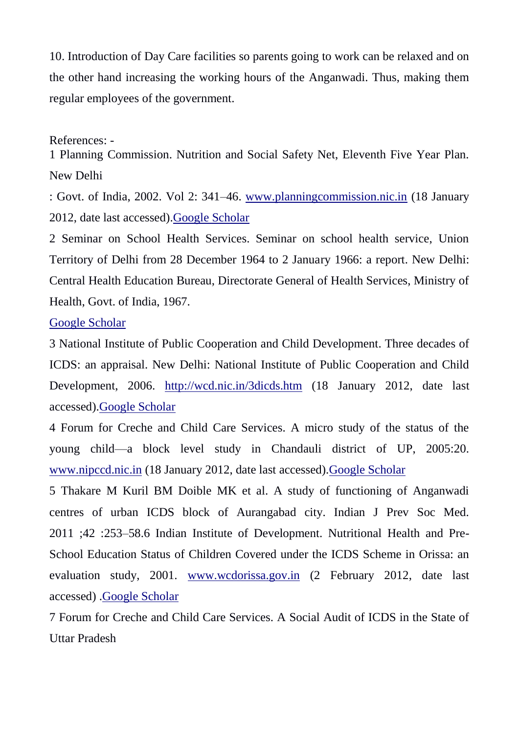10. Introduction of Day Care facilities so parents going to work can be relaxed and on the other hand increasing the working hours of the Anganwadi. Thus, making them regular employees of the government.

#### References: -

1 Planning Commission. Nutrition and Social Safety Net, Eleventh Five Year Plan. New Delhi

: Govt. of India, 2002. Vol 2: 341–46. [www.planningcommission.nic.in](http://www.planningcommission.nic.in/) (18 January 2012, date last accessed)[.Google Scholar](https://scholar.google.com/scholar?q=Planning+Commission.+Nutrition+and+Social+Safety+Net,+Eleventh+Five+Year+Plan.+New+Delhi:+Govt.+of+India,+2002.+Vol+2:+341–46.+www.planningcommission.nic.in+(18+January+2012,+date+last+accessed).)

2 Seminar on School Health Services. Seminar on school health service, Union Territory of Delhi from 28 December 1964 to 2 January 1966: a report. New Delhi: Central Health Education Bureau, Directorate General of Health Services, Ministry of Health, Govt. of India, 1967.

#### [Google Scholar](https://scholar.google.com/scholar?q=Seminar+on+School+Health+Services.+Seminar+on+school+health+service,+Union+Territory+of+Delhi+from+28+December+1964+to+2+January+1966:+a+report.+New+Delhi:+Central+Health+Education+Bureau,+Directorate+General+of+Health+Services,+Ministry+of+Health,+Govt.+of+India,+1967.)

3 National Institute of Public Cooperation and Child Development. Three decades of ICDS: an appraisal. New Delhi: National Institute of Public Cooperation and Child Development, 2006. <http://wcd.nic.in/3dicds.htm> (18 January 2012, date last accessed)[.Google Scholar](https://scholar.google.com/scholar?q=National+Institute+of+Public+Cooperation+and+Child+Development.+Three+decades+of+ICDS:+an+appraisal.+New+Delhi:+National+Institute+of+Public+Cooperation+and+Child+Development,+2006.+http://wcd.nic.in/3dicds.htm+(18+January+2012,+date+last+accessed).)

4 Forum for Creche and Child Care Services. A micro study of the status of the young child—a block level study in Chandauli district of UP, 2005:20. [www.nipccd.nic.in](http://www.nipccd.nic.in/) (18 January 2012, date last accessed)[.Google Scholar](https://scholar.google.com/scholar?q=Forum+for+Creche+and+Child+Care+Services.+A+micro+study+of+the+status+of+the+young+child—a+block+level+study+in+Chandauli+district+of+UP,+2005:20.+www.nipccd.nic.in+(18+January+2012,+date+last+accessed).)

5 Thakare M Kuril BM Doible MK et al. A study of functioning of Anganwadi centres of urban ICDS block of Aurangabad city. Indian J Prev Soc Med. 2011 ;42 :253–58.6 Indian Institute of Development. Nutritional Health and Pre-School Education Status of Children Covered under the ICDS Scheme in Orissa: an evaluation study, 2001. [www.wcdorissa.gov.in](http://www.wcdorissa.gov.in/) (2 February 2012, date last accessed) [.Google Scholar](https://scholar.google.com/scholar?q=Indian+Institute+of+Development.+Nutritional+Health+and+Pre-School+Education+Status+of+Children+Covered+under+the+ICDS+Scheme+in+Orissa:+an+evaluation+study,+2001.+www.wcdorissa.gov.in+(2+February+2012,+date+last+accessed).)

7 Forum for Creche and Child Care Services. A Social Audit of ICDS in the State of Uttar Pradesh